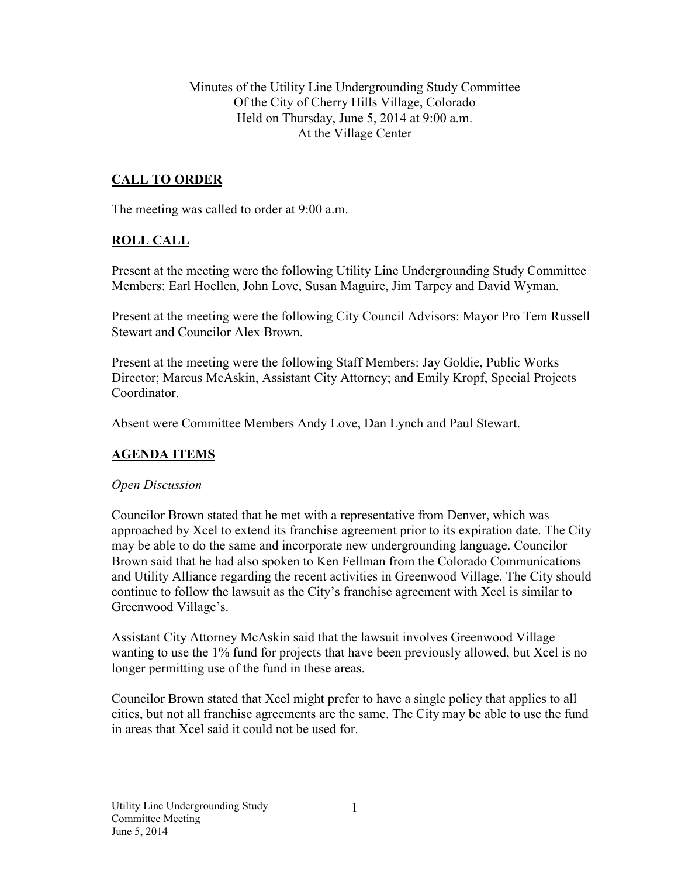Minutes of the Utility Line Undergrounding Study Committee Of the City of Cherry Hills Village, Colorado Held on Thursday, June 5, 2014 at 9:00 a.m. At the Village Center

## **CALL TO ORDER**

The meeting was called to order at 9:00 a.m.

### **ROLL CALL**

Present at the meeting were the following Utility Line Undergrounding Study Committee Members: Earl Hoellen, John Love, Susan Maguire, Jim Tarpey and David Wyman.

Present at the meeting were the following City Council Advisors: Mayor Pro Tem Russell Stewart and Councilor Alex Brown.

Present at the meeting were the following Staff Members: Jay Goldie, Public Works Director; Marcus McAskin, Assistant City Attorney; and Emily Kropf, Special Projects Coordinator.

Absent were Committee Members Andy Love, Dan Lynch and Paul Stewart.

### **AGENDA ITEMS**

#### *Open Discussion*

Councilor Brown stated that he met with a representative from Denver, which was approached by Xcel to extend its franchise agreement prior to its expiration date. The City may be able to do the same and incorporate new undergrounding language. Councilor Brown said that he had also spoken to Ken Fellman from the Colorado Communications and Utility Alliance regarding the recent activities in Greenwood Village. The City should continue to follow the lawsuit as the City's franchise agreement with Xcel is similar to Greenwood Village's.

Assistant City Attorney McAskin said that the lawsuit involves Greenwood Village wanting to use the 1% fund for projects that have been previously allowed, but Xcel is no longer permitting use of the fund in these areas.

Councilor Brown stated that Xcel might prefer to have a single policy that applies to all cities, but not all franchise agreements are the same. The City may be able to use the fund in areas that Xcel said it could not be used for.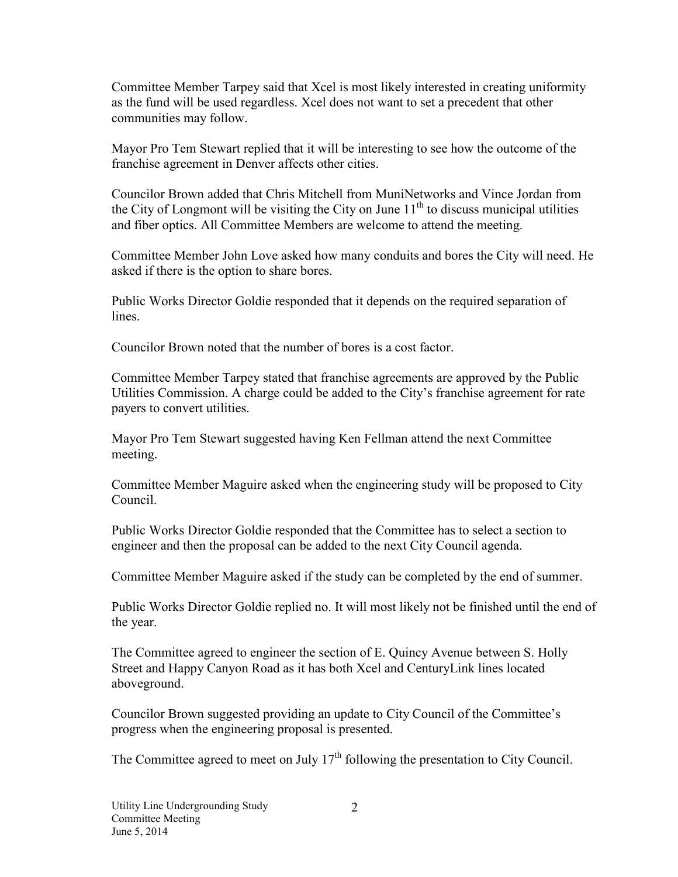Committee Member Tarpey said that Xcel is most likely interested in creating uniformity as the fund will be used regardless. Xcel does not want to set a precedent that other communities may follow.

Mayor Pro Tem Stewart replied that it will be interesting to see how the outcome of the franchise agreement in Denver affects other cities.

Councilor Brown added that Chris Mitchell from MuniNetworks and Vince Jordan from the City of Longmont will be visiting the City on June  $11<sup>th</sup>$  to discuss municipal utilities and fiber optics. All Committee Members are welcome to attend the meeting.

Committee Member John Love asked how many conduits and bores the City will need. He asked if there is the option to share bores.

Public Works Director Goldie responded that it depends on the required separation of lines.

Councilor Brown noted that the number of bores is a cost factor.

Committee Member Tarpey stated that franchise agreements are approved by the Public Utilities Commission. A charge could be added to the City's franchise agreement for rate payers to convert utilities.

Mayor Pro Tem Stewart suggested having Ken Fellman attend the next Committee meeting.

Committee Member Maguire asked when the engineering study will be proposed to City Council.

Public Works Director Goldie responded that the Committee has to select a section to engineer and then the proposal can be added to the next City Council agenda.

Committee Member Maguire asked if the study can be completed by the end of summer.

Public Works Director Goldie replied no. It will most likely not be finished until the end of the year.

The Committee agreed to engineer the section of E. Quincy Avenue between S. Holly Street and Happy Canyon Road as it has both Xcel and CenturyLink lines located aboveground.

Councilor Brown suggested providing an update to City Council of the Committee's progress when the engineering proposal is presented.

The Committee agreed to meet on July  $17<sup>th</sup>$  following the presentation to City Council.